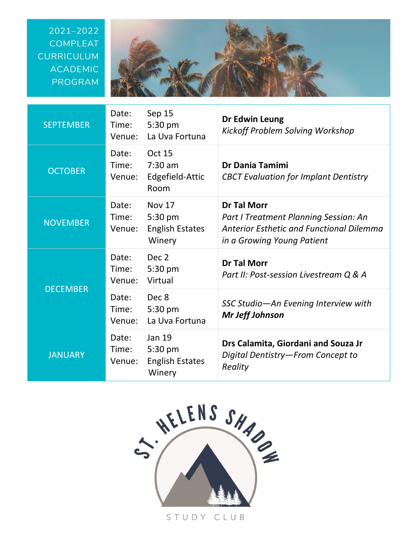## 2021-2022 **COMPLEAT CURRICULUM ACADEMIC** PROGRAM



| <b>SEPTEMBER</b> | Date:<br>Time:<br>Venue: | Sep 15<br>5:30 pm<br>La Uva Fortuna                          | Dr Edwin Leung<br>Kickoff Problem Solving Workshop                                                                                           |
|------------------|--------------------------|--------------------------------------------------------------|----------------------------------------------------------------------------------------------------------------------------------------------|
| <b>OCTOBER</b>   | Date:<br>Time:<br>Venue: | <b>Oct 15</b><br>$7:30$ am<br>Edgefield-Attic<br>Room        | <b>Dr Dania Tamimi</b><br><b>CBCT Evaluation for Implant Dentistry</b>                                                                       |
| <b>NOVEMBER</b>  | Date:<br>Time:<br>Venue: | <b>Nov 17</b><br>5:30 pm<br><b>English Estates</b><br>Winery | <b>Dr Tal Morr</b><br>Part I Treatment Planning Session: An<br><b>Anterior Esthetic and Functional Dilemma</b><br>in a Growing Young Patient |
| <b>DECEMBER</b>  | Date:<br>Time:<br>Venue: | Dec <sub>2</sub><br>5:30 pm<br>Virtual                       | <b>Dr Tal Morr</b><br>Part II: Post-session Livestream Q & A                                                                                 |
|                  | Date:<br>Time:<br>Venue: | Dec 8<br>5:30 pm<br>La Uva Fortuna                           | SSC Studio-An Evening Interview with<br><b>Mr Jeff Johnson</b>                                                                               |
| <b>JANUARY</b>   | Date:<br>Time:<br>Venue: | <b>Jan 19</b><br>5:30 pm<br><b>English Estates</b><br>Winery | Drs Calamita, Giordani and Souza Jr<br>Digital Dentistry-From Concept to<br>Reality                                                          |



STUDY CLUB